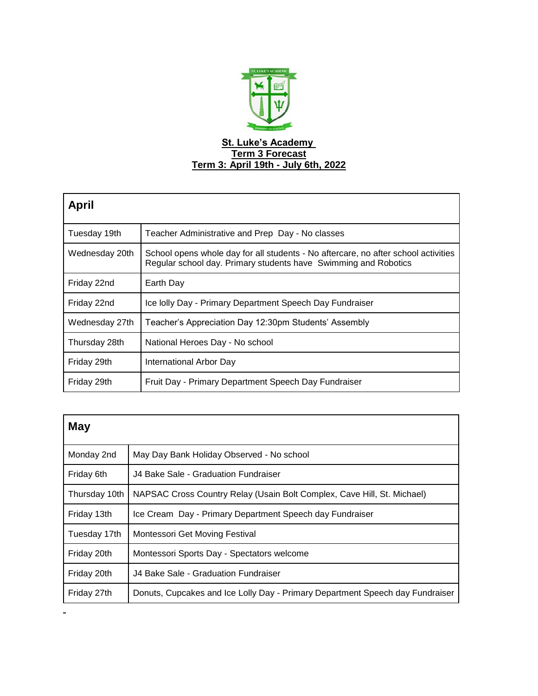

| <b>April</b>   |                                                                                                                                                       |  |
|----------------|-------------------------------------------------------------------------------------------------------------------------------------------------------|--|
| Tuesday 19th   | Teacher Administrative and Prep Day - No classes                                                                                                      |  |
| Wednesday 20th | School opens whole day for all students - No aftercare, no after school activities<br>Regular school day. Primary students have Swimming and Robotics |  |
| Friday 22nd    | Earth Day                                                                                                                                             |  |
| Friday 22nd    | Ice Iolly Day - Primary Department Speech Day Fundraiser                                                                                              |  |
| Wednesday 27th | Teacher's Appreciation Day 12:30pm Students' Assembly                                                                                                 |  |
| Thursday 28th  | National Heroes Day - No school                                                                                                                       |  |
| Friday 29th    | International Arbor Day                                                                                                                               |  |
| Friday 29th    | Fruit Day - Primary Department Speech Day Fundraiser                                                                                                  |  |

| May           |                                                                               |  |
|---------------|-------------------------------------------------------------------------------|--|
| Monday 2nd    | May Day Bank Holiday Observed - No school                                     |  |
| Friday 6th    | J4 Bake Sale - Graduation Fundraiser                                          |  |
| Thursday 10th | NAPSAC Cross Country Relay (Usain Bolt Complex, Cave Hill, St. Michael)       |  |
| Friday 13th   | Ice Cream Day - Primary Department Speech day Fundraiser                      |  |
| Tuesday 17th  | Montessori Get Moving Festival                                                |  |
| Friday 20th   | Montessori Sports Day - Spectators welcome                                    |  |
| Friday 20th   | J4 Bake Sale - Graduation Fundraiser                                          |  |
| Friday 27th   | Donuts, Cupcakes and Ice Lolly Day - Primary Department Speech day Fundraiser |  |

 $\blacksquare$